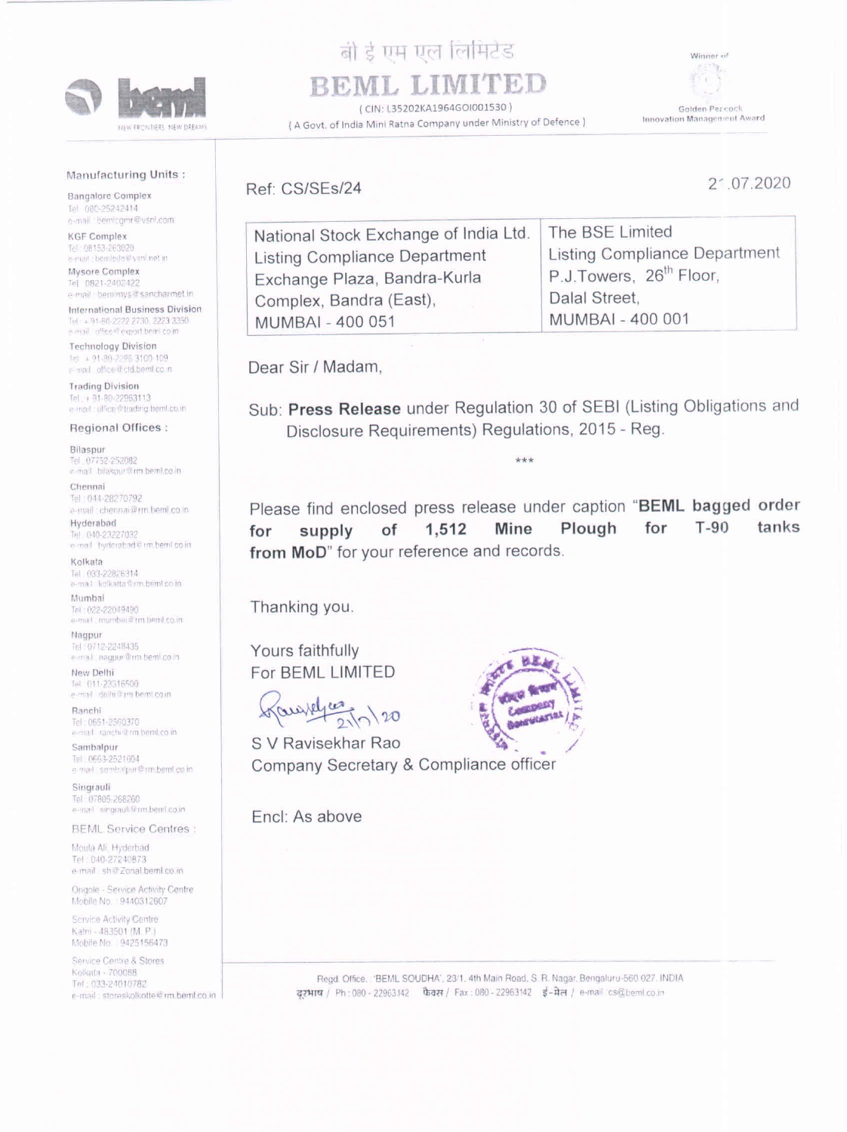Bangalore Complex 1el 080-25242414<br>e-mail bemlogmr@vsnl.com

## Manufacturing Units :

KGF Complex Tel: 08153-263020 e-mail: bemlede@vsnl.net.in

Mysore Complex Tel 0821-2402422 e-mail - beminws @sancharmet.in

International Business Division Tol: + 91-80-2222 2730, 2223 3350 a mail office if export boml coint

Technology Division<br> $\frac{1}{2}$  4 91-80-2208 3100-109 e-real office dictd.bemlico n

Trading Division Tal. + 91-80-22083113 e-mail: office letrading bemLco.in

Bilaspur Tel: 07752-252082 e-mail: bilaspur@rm.beml.co.in

Chennai Tel: 044-28270792 p-mail: chennai@rm beml co in

Hyderabad<br>Tel 040-23227032 nal hyderabad@ rm heml coin

Kolkata Tel (V93-22826314)<br>|e-mail: kolkatta@rm.beml.co.in|

Regional Offices :

Nagpur Tel : 0712-2248435<br>e-mail: nagpur@rm bem! co in

New Delhi Tel 011-23516500<br>e-mail delhi@rm beml.co.in

Ranchi<br>Tel : 0651-2560370<br>ermail : ranchi it rm. beml.co.in

Sambalpur Tel 0663-2521604 e mail: samhalpur@m.beml.co.in

Singrauli Tel: 07805-268260 e-mail singrauli@rm.bent.co.in



## बी ई एम एल लिमिटेड BEML LIMITED

Mumbai Tel 022-22049490 mal mambag@ im bembeoit

BEML Service Centres

Moula Ali, Hyderbad Tel. 040-27240873 e-mail shorzonal.beml.co.in

Ongole - Service Activity Centre<br>Mobile No : 9440312607 Mobile No. : 9440312607

Please find enclosed press release under caption "BEML bagged order for supply of 1,512 Mine Plough for T-90 tanks from MoD" for your reference and records.

( CIN: L35202KA1964G01001530 } ( A Govt. of India Mini Ratna Company under Ministry of Defence ) Winner of



Golden Pereock Innovation Managenient Avard

Ref: CS/SEs/24

S V Ravisekhar Rao Company Secretary & Compliance officer 2° 07.2020

| National Stock Exchange of India Ltd. | The BSE Limited                     |
|---------------------------------------|-------------------------------------|
| Listing Compliance Department         | Listing Compliance Department       |
| Exchange Plaza, Bandra-Kurla          | P.J.Towers, 26 <sup>th</sup> Floor, |
| Complex, Bandra (East),               | Dalal Street,                       |
| MUMBAI - 400 051                      | MUMBAI - 400 001                    |
|                                       |                                     |

Dear Sir / Madam,

Sub: Press Release under Regulation 30 of SEBI (Listing Obligations and Disclosure Requirements) Regulations, 2015 - Reg.

Thanking you.

Yours faithfully For BEML LIMITED





Scrvice Activity Centre Katni - 483501 (M. P.) Mobile No. 9425156473

e-mail : storesko<br>|-<br>|- Service Centre & Stores Kolkata - 700088 Tel: 033-24010782 e-mail: storeskolkotte@rm.beml.co.in

Read. Office. 'BEML SOUDHA', 23/1. 4th Main Road. S. R. Nagar. Bengaluru-560 027. INDIA दरभाष / Ph:080 - 22963142 फैक्स / Fax: 080 - 22963142 ई - मेल / e-mail cs@beml.co.in

Encl: As above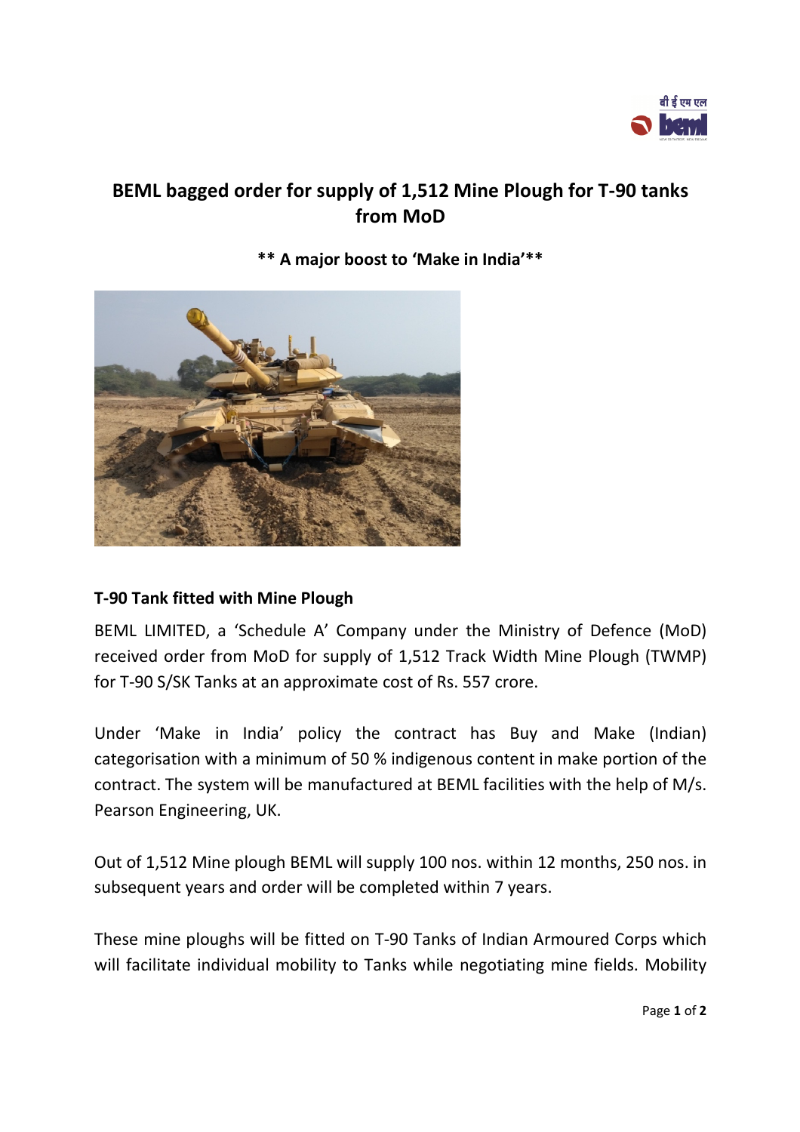

## **BEML bagged order for supply of 1,512 Mine Plough for T-90 tanks from MoD**

**\*\* A major boost to 'Make in India'\*\*** 



## **T-90 Tank fitted with Mine Plough**

BEML LIMITED, a 'Schedule A' Company under the Ministry of Defence (MoD) received order from MoD for supply of 1,512 Track Width Mine Plough (TWMP) for T-90 S/SK Tanks at an approximate cost of Rs. 557 crore.

Under 'Make in India' policy the contract has Buy and Make (Indian) categorisation with a minimum of 50 % indigenous content in make portion of the contract. The system will be manufactured at BEML facilities with the help of M/s. Pearson Engineering, UK.

Out of 1,512 Mine plough BEML will supply 100 nos. within 12 months, 250 nos. in subsequent years and order will be completed within 7 years.

These mine ploughs will be fitted on T-90 Tanks of Indian Armoured Corps which will facilitate individual mobility to Tanks while negotiating mine fields. Mobility